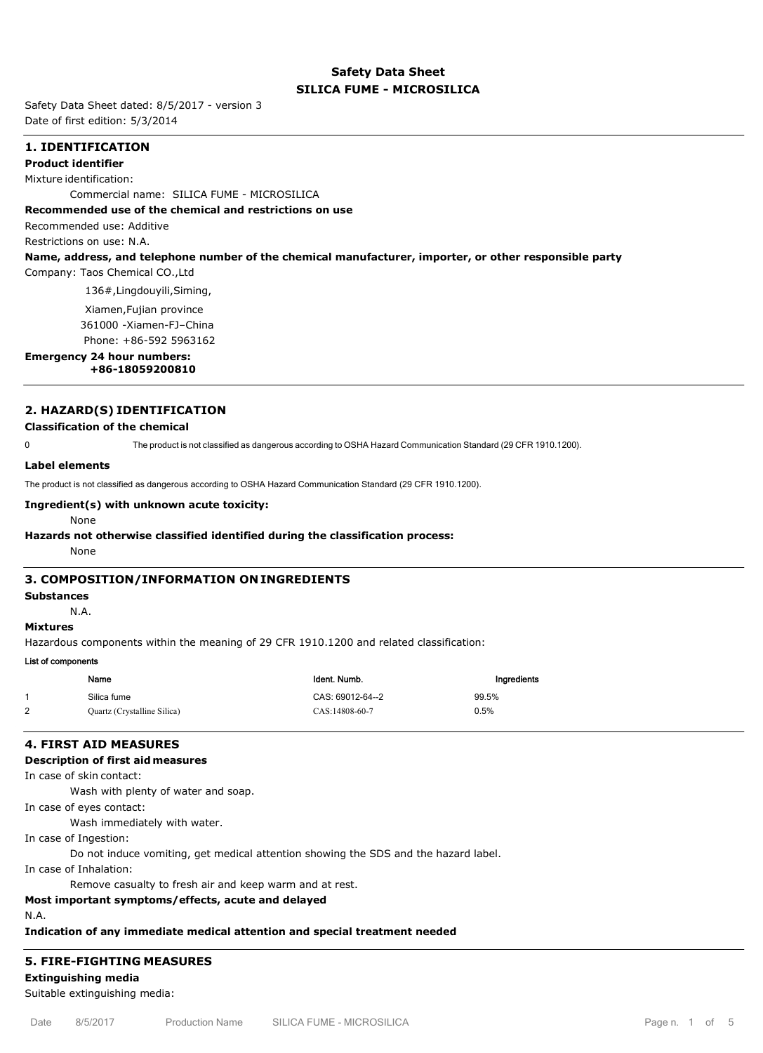## **Safety Data Sheet SILICA FUME - MICROSILICA**

Safety Data Sheet dated: 8/5/2017 - version 3 Date of first edition: 5/3/2014

## **1. IDENTIFICATION**

#### **Product identifier**

Mixture identification:

Commercial name: SILICA FUME - MICROSILICA

### **Recommended use of the chemical and restrictions on use**

Recommended use: Additive

Restrictions on use: N.A.

#### **Name, address, and telephone number of the chemical manufacturer, importer, or other responsible party**

Company: Taos Chemical CO.,Ltd

136#,Lingdouyili,Siming,

Xiamen,Fujian province

361000 -Xiamen-FJ–China

Phone: +86-592 5963162

# **Emergency 24 hour numbers:**

 **+86-18059200810**

## **2. HAZARD(S) IDENTIFICATION**

## **Classification of the chemical**

0 The product is not classified as dangerous according to OSHA Hazard Communication Standard (29 CFR 1910.1200).

#### **Label elements**

The product is not classified as dangerous according to OSHA Hazard Communication Standard (29 CFR 1910.1200).

## **Ingredient(s) with unknown acute toxicity:**

#### None

#### **Hazards not otherwise classified identified during the classification process:**

None

## **3. COMPOSITION/INFORMATION ON INGREDIENTS**

## **Substances**

N.A.

## **Mixtures**

Hazardous components within the meaning of 29 CFR 1910.1200 and related classification:

## List of components

|   | Name                        | Ident. Numb.     | Ingredients |
|---|-----------------------------|------------------|-------------|
|   | Silica fume                 | CAS: 69012-64--2 | 99.5%       |
| 2 | Quartz (Crystalline Silica) | CAS:14808-60-7   | 0.5%        |

## **4. FIRST AID MEASURES**

## **Description of first aid measures**

In case of skin contact:

Wash with plenty of water and soap.

In case of eyes contact:

Wash immediately with water.

In case of Ingestion:

Do not induce vomiting, get medical attention showing the SDS and the hazard label.

In case of Inhalation:

Remove casualty to fresh air and keep warm and at rest.

## **Most important symptoms/effects, acute and delayed**

N.A.

**Indication of any immediate medical attention and special treatment needed**

## **5. FIRE-FIGHTING MEASURES**

**Extinguishing media**

Suitable extinguishing media: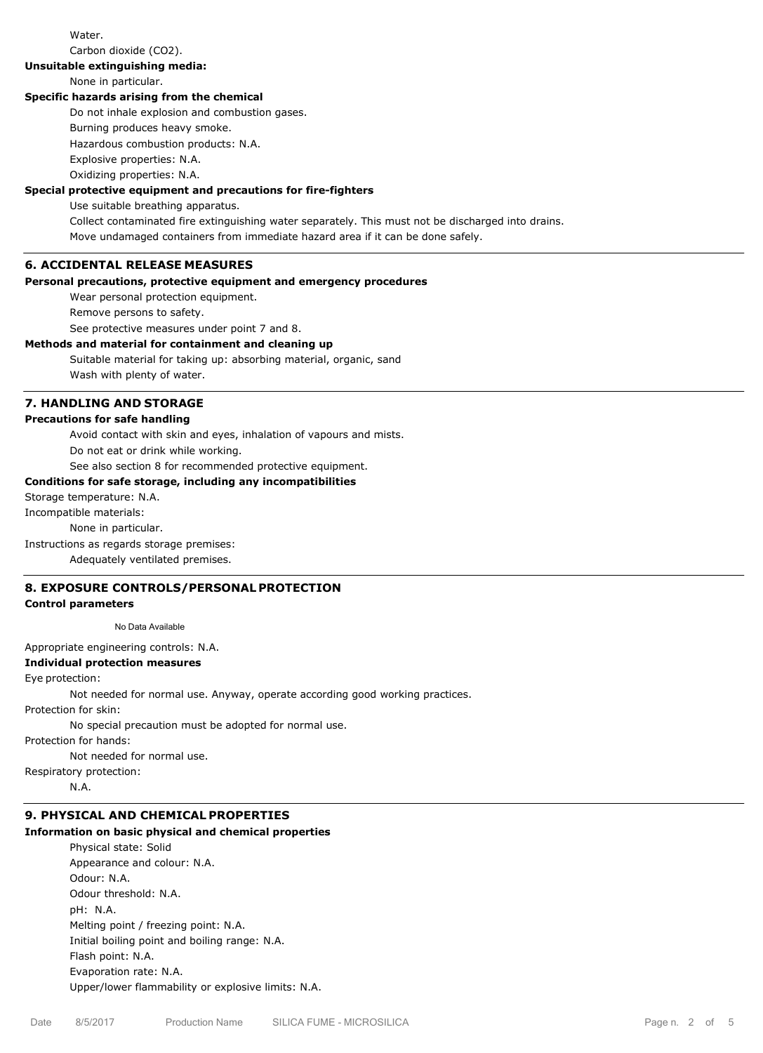Water.

Carbon dioxide (CO2).

**Unsuitable extinguishing media:**

## None in particular.

## **Specific hazards arising from the chemical**

Do not inhale explosion and combustion gases.

Burning produces heavy smoke.

Hazardous combustion products: N.A.

Explosive properties: N.A. Oxidizing properties: N.A.

# **Special protective equipment and precautions for fire-fighters**

Use suitable breathing apparatus.

Collect contaminated fire extinguishing water separately. This must not be discharged into drains.

Move undamaged containers from immediate hazard area if it can be done safely.

## **6. ACCIDENTAL RELEASE MEASURES**

## **Personal precautions, protective equipment and emergency procedures**

Wear personal protection equipment.

Remove persons to safety.

See protective measures under point 7 and 8.

## **Methods and material for containment and cleaning up**

Suitable material for taking up: absorbing material, organic, sand Wash with plenty of water.

## **7. HANDLING AND STORAGE**

**Precautions for safe handling**

Avoid contact with skin and eyes, inhalation of vapours and mists.

Do not eat or drink while working.

See also section 8 for recommended protective equipment.

## **Conditions for safe storage, including any incompatibilities**

Storage temperature: N.A.

Incompatible materials:

None in particular.

Instructions as regards storage premises:

Adequately ventilated premises.

## **8. EXPOSURE CONTROLS/PERSONAL PROTECTION**

#### **Control parameters**

No Data Available

Appropriate engineering controls: N.A.

#### **Individual protection measures**

Eye protection:

Not needed for normal use. Anyway, operate according good working practices.

Protection for skin:

No special precaution must be adopted for normal use.

Protection for hands:

Not needed for normal use.

Respiratory protection:

N.A.

## **9. PHYSICAL AND CHEMICAL PROPERTIES**

## **Information on basic physical and chemical properties**

Physical state: Solid Appearance and colour: N.A. Odour: N.A. Odour threshold: N.A. pH: N.A. Melting point / freezing point: N.A. Initial boiling point and boiling range: N.A. Flash point: N.A. Evaporation rate: N.A. Upper/lower flammability or explosive limits: N.A.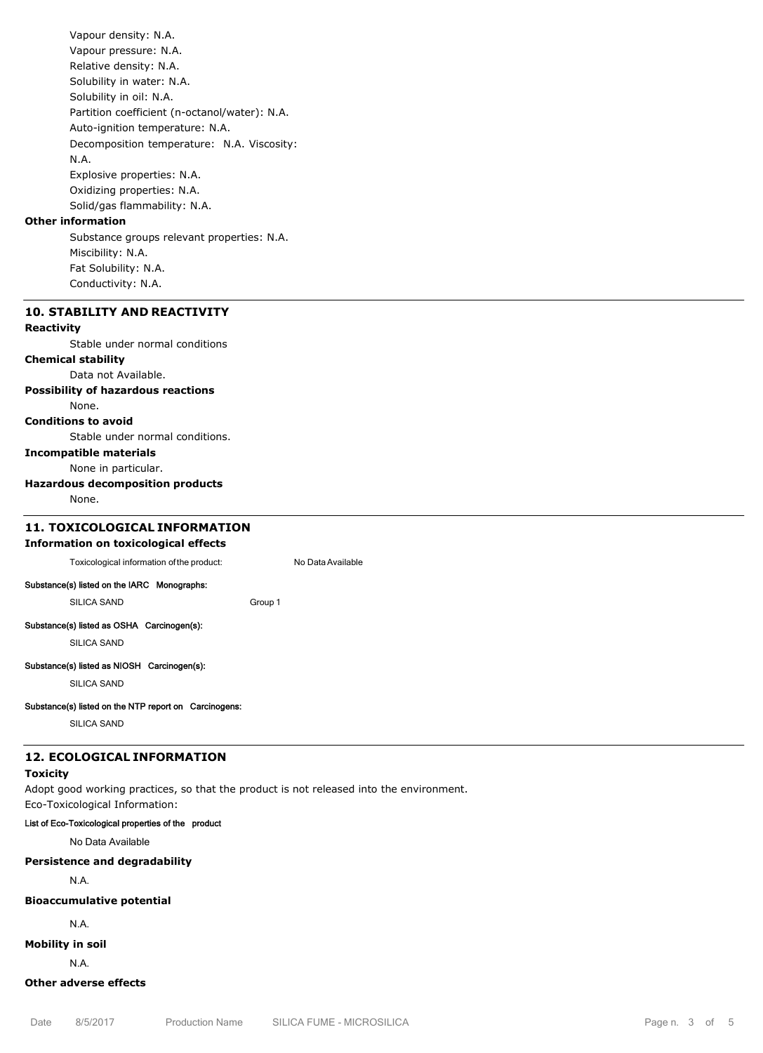Vapour density: N.A. Vapour pressure: N.A. Relative density: N.A. Solubility in water: N.A. Solubility in oil: N.A. Partition coefficient (n-octanol/water): N.A. Auto-ignition temperature: N.A. Decomposition temperature: N.A. Viscosity: N.A. Explosive properties: N.A. Oxidizing properties: N.A. Solid/gas flammability: N.A.

## **Other information**

Substance groups relevant properties: N.A. Miscibility: N.A. Fat Solubility: N.A. Conductivity: N.A.

## **10. STABILITY AND REACTIVITY**

#### **Reactivity**

Stable under normal conditions

## **Chemical stability**

Data not Available.

## **Possibility of hazardous reactions**

None.

## **Conditions to avoid**

Stable under normal conditions.

## **Incompatible materials**

None in particular.

## **Hazardous decomposition products**

None.

# **11. TOXICOLOGICAL INFORMATION**

**Information on toxicological effects** Toxicological information of the product: No Data Available

#### Substance(s) listed on the IARC Monographs:

SILICA SAND Group 1

## Substance(s) listed as OSHA Carcinogen(s):

SILICA SAND

#### Substance(s) listed as NIOSH Carcinogen(s):

SILICA SAND

## Substance(s) listed on the NTP report on Carcinogens:

SILICA SAND

#### **12. ECOLOGICAL INFORMATION**

## **Toxicity**

Adopt good working practices, so that the product is not released into the environment. Eco-Toxicological Information:

#### List of Eco-Toxicological properties of the product

No Data Available

## **Persistence and degradability**

N.A.

## **Bioaccumulative potential**

N.A.

## **Mobility in soil**

N.A.

## **Other adverse effects**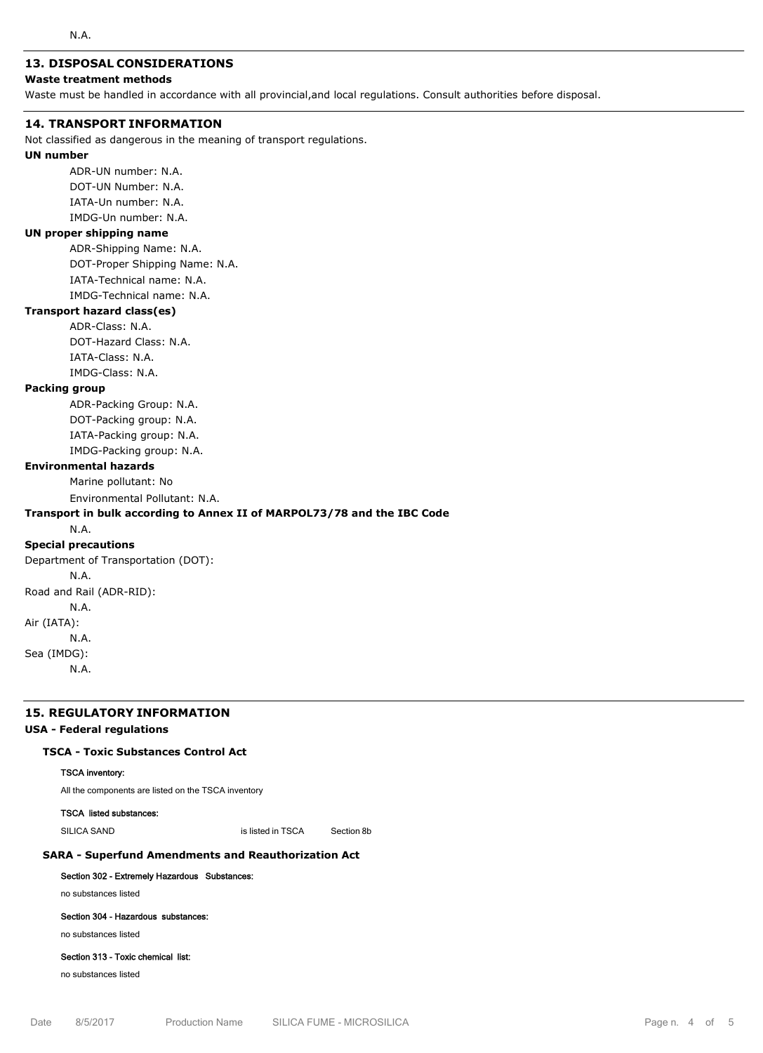## **13. DISPOSAL CONSIDERATIONS**

## **Waste treatment methods**

Waste must be handled in accordance with all provincial,and local regulations. Consult authorities before disposal.

### **14. TRANSPORT INFORMATION**

Not classified as dangerous in the meaning of transport regulations.

#### **UN number**

ADR-UN number: N.A. DOT-UN Number: N.A. IATA-Un number: N.A. IMDG-Un number: N.A.

### **UN proper shipping name**

ADR-Shipping Name: N.A. DOT-Proper Shipping Name: N.A. IATA-Technical name: N.A. IMDG-Technical name: N.A.

## **Transport hazard class(es)**

ADR-Class: N.A. DOT-Hazard Class: N.A. IATA-Class: N.A. IMDG-Class: N.A.

## **Packing group**

ADR-Packing Group: N.A. DOT-Packing group: N.A. IATA-Packing group: N.A. IMDG-Packing group: N.A.

#### **Environmental hazards**

Marine pollutant: No

Environmental Pollutant: N.A.

## **Transport in bulk according to Annex II of MARPOL73/78 and the IBC Code**

N.A.

#### **Special precautions**

Department of Transportation (DOT): N.A. Road and Rail (ADR-RID): N.A. Air (IATA): N.A. Sea (IMDG): N.A.

### **15. REGULATORY INFORMATION**

#### **USA - Federal regulations**

## **TSCA - Toxic Substances Control Act**

### TSCA inventory:

All the components are listed on the TSCA inventory

#### TSCA listed substances:

SILICA SAND is listed in TSCA Section 8b

### **SARA - Superfund Amendments and Reauthorization Act**

#### Section 302 - Extremely Hazardous Substances:

no substances listed

## Section 304 - Hazardous substances:

no substances listed

#### Section 313 - Toxic chemical list:

no substances listed